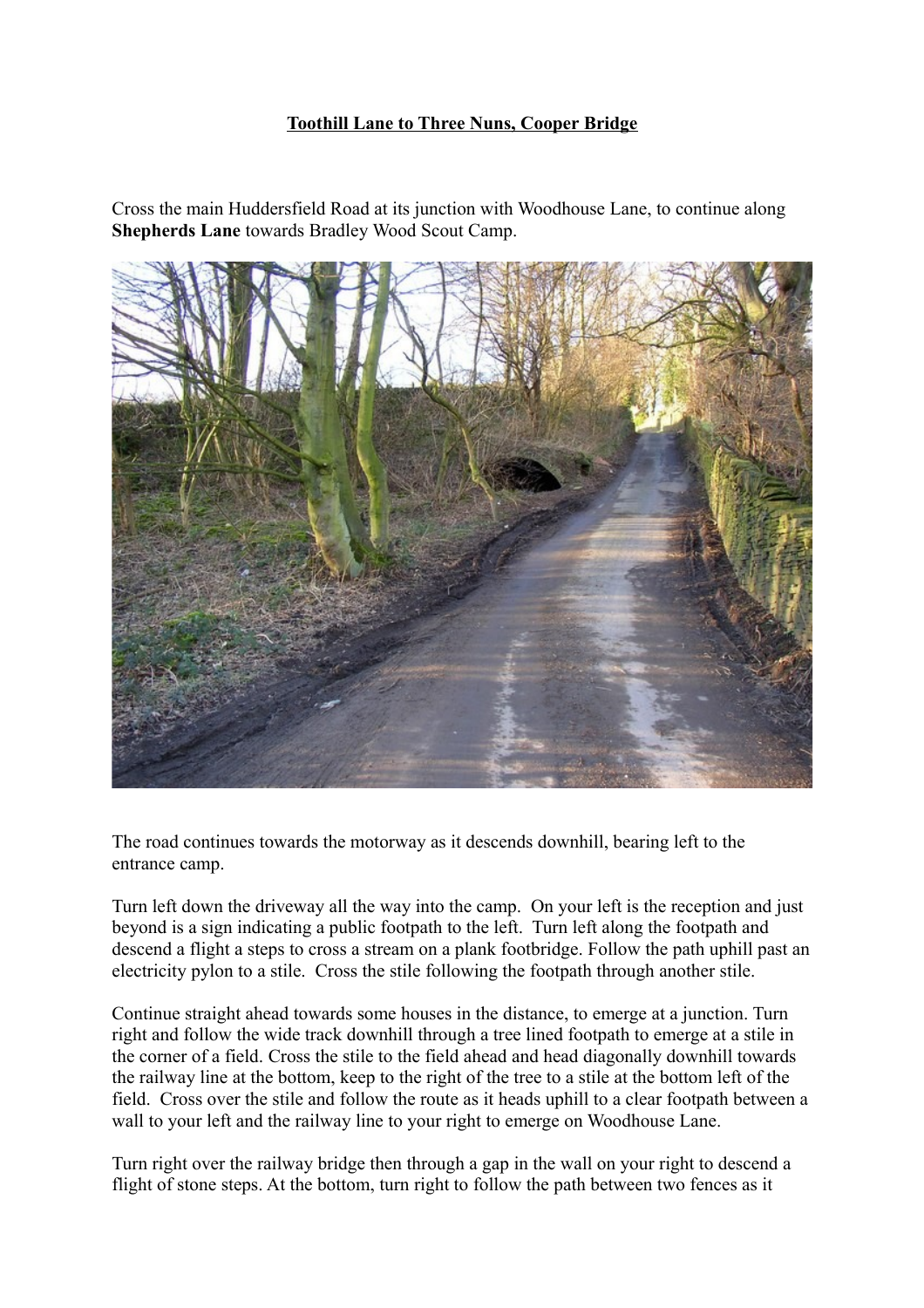## **Toothill Lane to Three Nuns, Cooper Bridge**

Cross the main Huddersfield Road at its junction with Woodhouse Lane, to continue along **Shepherds Lane** towards Bradley Wood Scout Camp.



The road continues towards the motorway as it descends downhill, bearing left to the entrance camp.

Turn left down the driveway all the way into the camp. On your left is the reception and just beyond is a sign indicating a public footpath to the left. Turn left along the footpath and descend a flight a steps to cross a stream on a plank footbridge. Follow the path uphill past an electricity pylon to a stile. Cross the stile following the footpath through another stile.

Continue straight ahead towards some houses in the distance, to emerge at a junction. Turn right and follow the wide track downhill through a tree lined footpath to emerge at a stile in the corner of a field. Cross the stile to the field ahead and head diagonally downhill towards the railway line at the bottom, keep to the right of the tree to a stile at the bottom left of the field. Cross over the stile and follow the route as it heads uphill to a clear footpath between a wall to your left and the railway line to your right to emerge on Woodhouse Lane.

Turn right over the railway bridge then through a gap in the wall on your right to descend a flight of stone steps. At the bottom, turn right to follow the path between two fences as it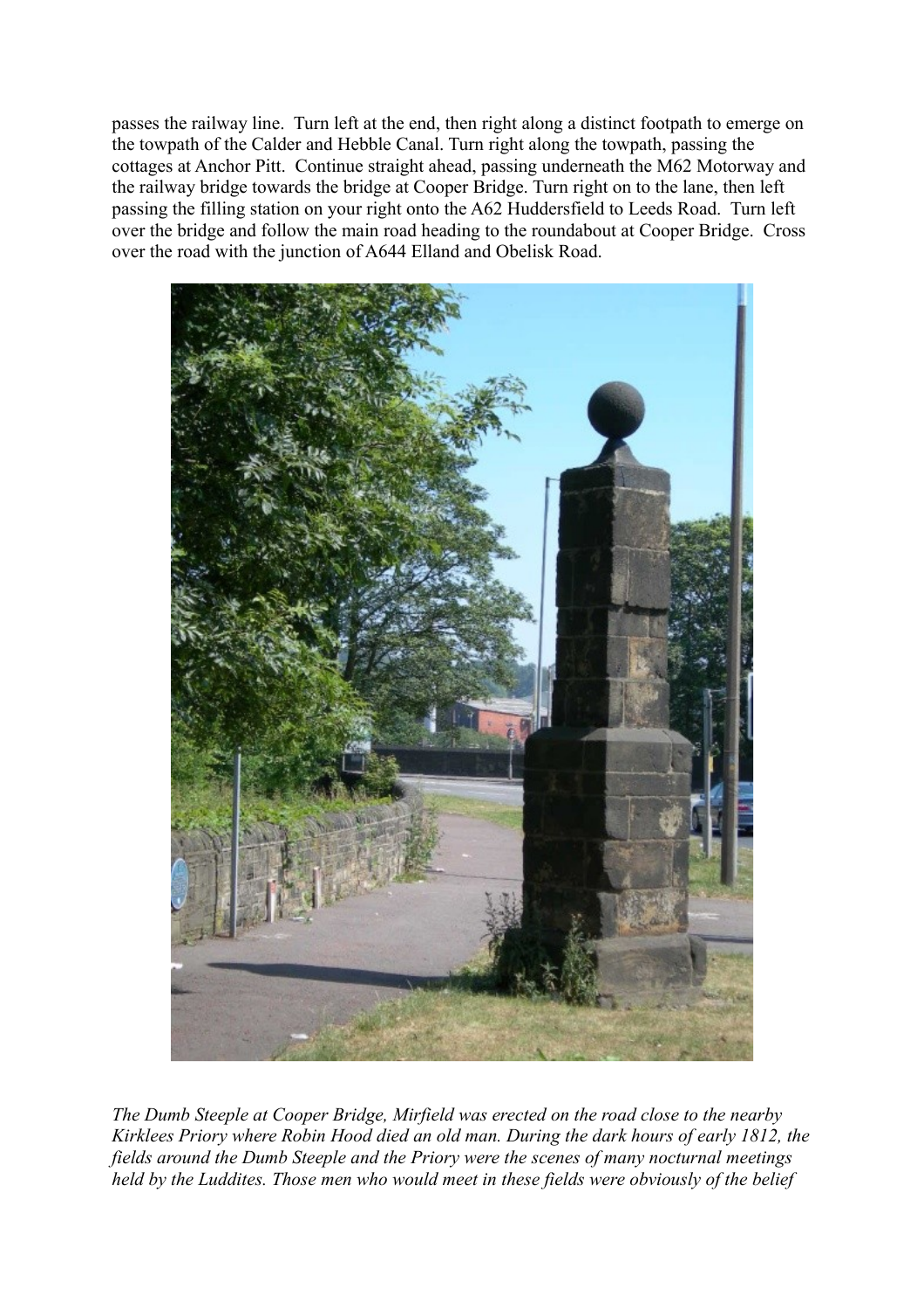passes the railway line. Turn left at the end, then right along a distinct footpath to emerge on the towpath of the Calder and Hebble Canal. Turn right along the towpath, passing the cottages at Anchor Pitt. Continue straight ahead, passing underneath the M62 Motorway and the railway bridge towards the bridge at Cooper Bridge. Turn right on to the lane, then left passing the filling station on your right onto the A62 Huddersfield to Leeds Road. Turn left over the bridge and follow the main road heading to the roundabout at Cooper Bridge. Cross over the road with the junction of A644 Elland and Obelisk Road.



*The Dumb Steeple at Cooper Bridge, Mirfield was erected on the road close to the nearby Kirklees Priory where Robin Hood died an old man. During the dark hours of early 1812, the fields around the Dumb Steeple and the Priory were the scenes of many nocturnal meetings held by the Luddites. Those men who would meet in these fields were obviously of the belief*